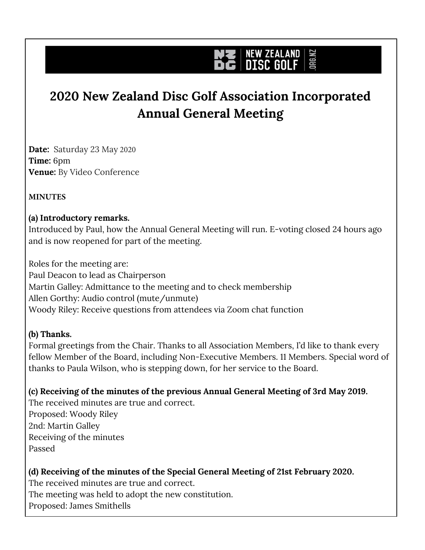# **JRG.NZ NEW ZEALAND**

# **2020 New Zealand Disc Golf Association Incorporated Annual General Meeting**

**Date:** Saturday 23 May 2020 **Time:** 6pm **Venue:** By Video Conference

#### **MINUTES**

#### **(a) Introductory remarks.**

Introduced by Paul, how the Annual General Meeting will run. E-voting closed 24 hours ago and is now reopened for part of the meeting.

Roles for the meeting are: Paul Deacon to lead as Chairperson Martin Galley: Admittance to the meeting and to check membership Allen Gorthy: Audio control (mute/unmute) Woody Riley: Receive questions from attendees via Zoom chat function

#### **(b) Thanks.**

Formal greetings from the Chair. Thanks to all Association Members, I'd like to thank every fellow Member of the Board, including Non-Executive Members. 11 Members. Special word of thanks to Paula Wilson, who is stepping down, for her service to the Board.

**(c) Receiving of the minutes of the previous Annual General Meeting of 3rd May 2019.**

The received minutes are true and correct. Proposed: Woody Riley 2nd: Martin Galley Receiving of the minutes Passed

# **(d) Receiving of the minutes of the Special General Meeting of 21st February 2020.**

The received minutes are true and correct. The meeting was held to adopt the new constitution. Proposed: James Smithells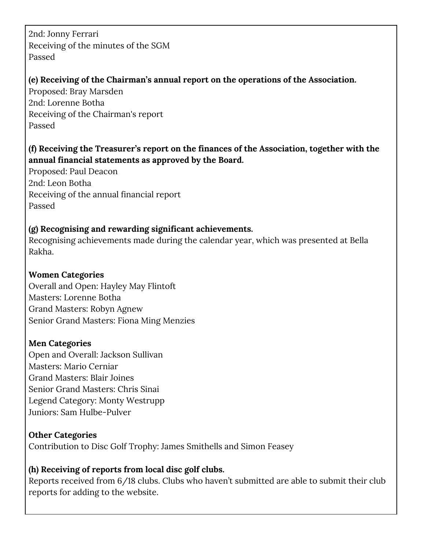2nd: Jonny Ferrari Receiving of the minutes of the SGM Passed

#### **(e) Receiving of the Chairman's annual report on the operations of the Association.**

Proposed: Bray Marsden 2nd: Lorenne Botha Receiving of the Chairman's report Passed

# **(f) Receiving the Treasurer's report on the finances of the Association, together with the annual financial statements as approved by the Board.**

Proposed: Paul Deacon 2nd: Leon Botha Receiving of the annual financial report Passed

## **(g) Recognising and rewarding significant achievements.**

Recognising achievements made during the calendar year, which was presented at Bella Rakha.

## **Women Categories**

Overall and Open: Hayley May Flintoft Masters: Lorenne Botha Grand Masters: Robyn Agnew Senior Grand Masters: Fiona Ming Menzies

#### **Men Categories**

Open and Overall: Jackson Sullivan Masters: Mario Cerniar Grand Masters: Blair Joines Senior Grand Masters: Chris Sinai Legend Category: Monty Westrupp Juniors: Sam Hulbe-Pulver

# **Other Categories**

Contribution to Disc Golf Trophy: James Smithells and Simon Feasey

# **(h) Receiving of reports from local disc golf clubs.**

Reports received from 6/18 clubs. Clubs who haven't submitted are able to submit their club reports for adding to the website.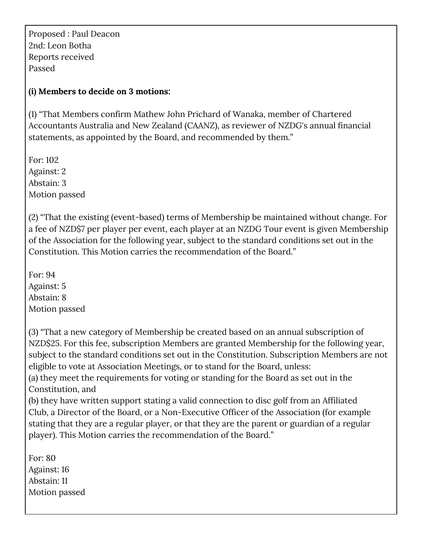Proposed : Paul Deacon 2nd: Leon Botha Reports received Passed

#### **(i) Members to decide on 3 motions:**

(1) "That Members confirm Mathew John Prichard of Wanaka, member of Chartered Accountants Australia and New Zealand (CAANZ), as reviewer of NZDG's annual financial statements, as appointed by the Board, and recommended by them."

For: 102 Against: 2 Abstain: 3 Motion passed

(2) "That the existing (event-based) terms of Membership be maintained without change. For a fee of NZD\$7 per player per event, each player at an NZDG Tour event is given Membership of the Association for the following year, subject to the standard conditions set out in the Constitution. This Motion carries the recommendation of the Board."

For: 94 Against: 5 Abstain: 8 Motion passed

(3) "That a new category of Membership be created based on an annual subscription of NZD\$25. For this fee, subscription Members are granted Membership for the following year, subject to the standard conditions set out in the Constitution. Subscription Members are not eligible to vote at Association Meetings, or to stand for the Board, unless: (a) they meet the requirements for voting or standing for the Board as set out in the Constitution, and

(b) they have written support stating a valid connection to disc golf from an Affiliated Club, a Director of the Board, or a Non-Executive Officer of the Association (for example stating that they are a regular player, or that they are the parent or guardian of a regular player). This Motion carries the recommendation of the Board."

For: 80 Against: 16 Abstain: 11 Motion passed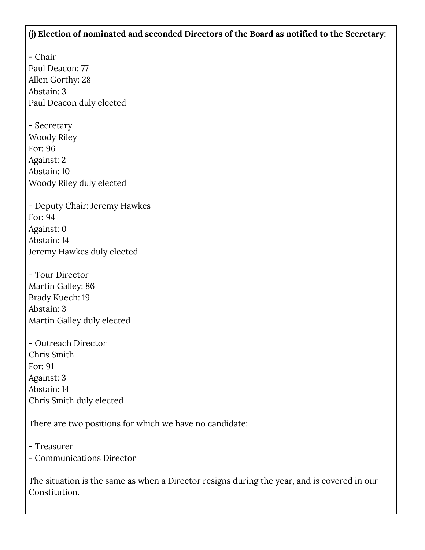#### **(j) Election of nominated and seconded Directors of the Board as notified to the Secretary:**

- Chair Paul Deacon: 77 Allen Gorthy: 28 Abstain: 3 Paul Deacon duly elected

- Secretary Woody Riley For: 96 Against: 2 Abstain: 10 Woody Riley duly elected

- Deputy Chair: Jeremy Hawkes For: 94 Against: 0 Abstain: 14 Jeremy Hawkes duly elected

- Tour Director Martin Galley: 86 Brady Kuech: 19 Abstain: 3 Martin Galley duly elected

- Outreach Director Chris Smith For: 91 Against: 3 Abstain: 14 Chris Smith duly elected

There are two positions for which we have no candidate:

- Treasurer

- Communications Director

The situation is the same as when a Director resigns during the year, and is covered in our Constitution.